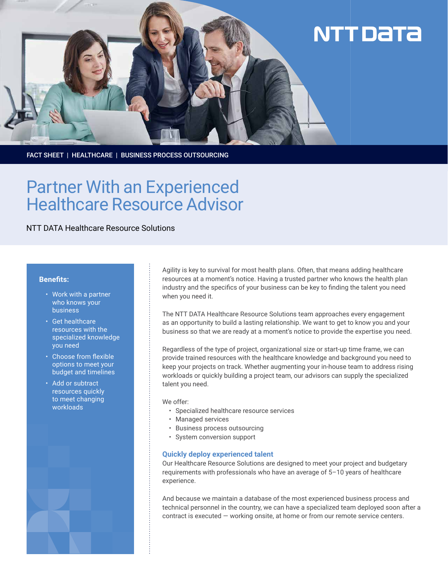

FACT SHEET | HEALTHCARE | BUSINESS PROCESS OUTSOURCING

# Partner With an Experienced Healthcare Resource Advisor

NTT DATA Healthcare Resource Solutions

#### **Benefits:**

- Work with a partner who knows your business
- Get healthcare resources with the specialized knowledge you need
- Choose from flexible options to meet your budget and timelines
- Add or subtract resources quickly to meet changing workloads



Agility is key to survival for most health plans. Often, that means adding healthcare resources at a moment's notice. Having a trusted partner who knows the health plan industry and the specifics of your business can be key to finding the talent you need when you need it.

The NTT DATA Healthcare Resource Solutions team approaches every engagement as an opportunity to build a lasting relationship. We want to get to know you and your business so that we are ready at a moment's notice to provide the expertise you need.

Regardless of the type of project, organizational size or start-up time frame, we can provide trained resources with the healthcare knowledge and background you need to keep your projects on track. Whether augmenting your in-house team to address rising workloads or quickly building a project team, our advisors can supply the specialized talent you need.

We offer:

- Specialized healthcare resource services
- Managed services
- Business process outsourcing
- System conversion support

### **Quickly deploy experienced talent**

Our Healthcare Resource Solutions are designed to meet your project and budgetary requirements with professionals who have an average of 5–10 years of healthcare experience.

And because we maintain a database of the most experienced business process and technical personnel in the country, we can have a specialized team deployed soon after a contract is executed — working onsite, at home or from our remote service centers.